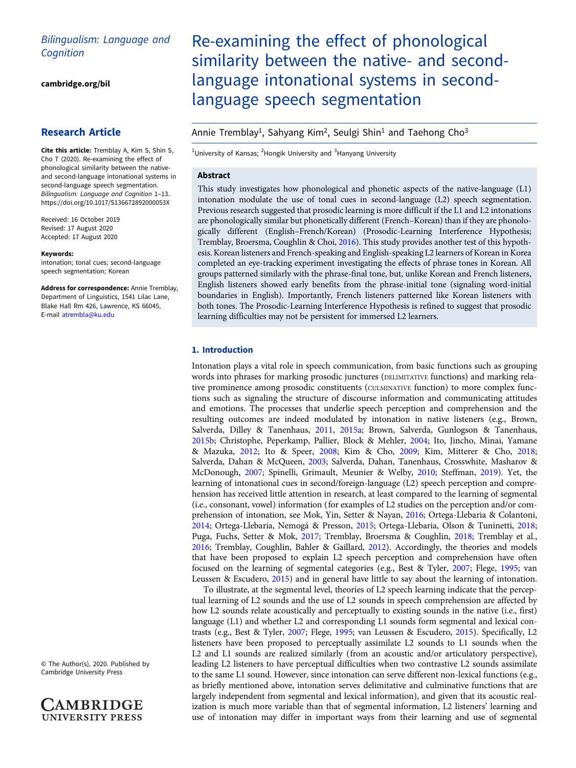# Bilingualism: Language and **Cognition**

[cambridge.org/bil](https://www.cambridge.org/bil)

## Research Article

Cite this article: Tremblay A, Kim S, Shin S, Cho T (2020). Re-examining the effect of phonological similarity between the nativeand second-language intonational systems in second-language speech segmentation. Bilingualism: Language and Cognition 1–13. <https://doi.org/10.1017/S136672892000053X>

Received: 16 October 2019 Revised: 17 August 2020 Accepted: 17 August 2020

#### Keywords:

intonation; tonal cues; second-language speech segmentation; Korean

Address for correspondence: Annie Tremblay, Department of Linguistics, 1541 Lilac Lane, Blake Hall Rm 426, Lawrence, KS 66045, E-mail [atrembla@ku.edu](mailto:atrembla@ku.edu)

© The Author(s), 2020. Published by Cambridge University Press

**AMBRIDGE UNIVERSITY PRESS** 

# Re-examining the effect of phonological similarity between the native- and secondlanguage intonational systems in secondlanguage speech segmentation

# Annie Tremblay<sup>1</sup>, Sahyang Kim<sup>2</sup>, Seulgi Shin<sup>1</sup> and Taehong Cho<sup>3</sup>

<sup>1</sup>University of Kansas; <sup>2</sup>Hongik University and <sup>3</sup>Hanyang University

## Abstract

This study investigates how phonological and phonetic aspects of the native-language (L1) intonation modulate the use of tonal cues in second-language (L2) speech segmentation. Previous research suggested that prosodic learning is more difficult if the L1 and L2 intonations are phonologically similar but phonetically different (French–Korean) than if they are phonologically different (English–French/Korean) (Prosodic-Learning Interference Hypothesis; Tremblay, Broersma, Coughlin & Choi, [2016](#page-11-0)). This study provides another test of this hypothesis. Korean listeners and French-speaking and English-speaking L2 learners of Korean in Korea completed an eye-tracking experiment investigating the effects of phrase tones in Korean. All groups patterned similarly with the phrase-final tone, but, unlike Korean and French listeners, English listeners showed early benefits from the phrase-initial tone (signaling word-initial boundaries in English). Importantly, French listeners patterned like Korean listeners with both tones. The Prosodic-Learning Interference Hypothesis is refined to suggest that prosodic learning difficulties may not be persistent for immersed L2 learners.

## 1. Introduction

Intonation plays a vital role in speech communication, from basic functions such as grouping words into phrases for marking prosodic junctures (DELIMITATIVE functions) and marking relative prominence among prosodic constituents (CULMINATIVE function) to more complex functions such as signaling the structure of discourse information and communicating attitudes and emotions. The processes that underlie speech perception and comprehension and the resulting outcomes are indeed modulated by intonation in native listeners (e.g., Brown, Salverda, Dilley & Tanenhaus, [2011](#page-11-0), [2015a](#page-11-0); Brown, Salverda, Gunlogson & Tanenhaus, [2015b](#page-11-0); Christophe, Peperkamp, Pallier, Block & Mehler, [2004](#page-11-0); Ito, Jincho, Minai, Yamane & Mazuka, [2012](#page-11-0); Ito & Speer, [2008;](#page-11-0) Kim & Cho, [2009;](#page-11-0) Kim, Mitterer & Cho, [2018](#page-11-0); Salverda, Dahan & McQueen, [2003](#page-11-0); Salverda, Dahan, Tanenhaus, Crosswhite, Masharov & McDonough, [2007](#page-11-0); Spinelli, Grimault, Meunier & Welby, [2010](#page-11-0); Steffman, [2019](#page-11-0)). Yet, the learning of intonational cues in second/foreign-language (L2) speech perception and comprehension has received little attention in research, at least compared to the learning of segmental (i.e., consonant, vowel) information (for examples of L2 studies on the perception and/or comprehension of intonation, see Mok, Yin, Setter & Nayan, [2016;](#page-11-0) Ortega-Llebaria & Colantoni, [2014;](#page-11-0) Ortega-Llebaria, Nemogá & Presson, [2015;](#page-11-0) Ortega-Llebaria, Olson & Tuninetti, [2018](#page-11-0); Puga, Fuchs, Setter & Mok, [2017;](#page-11-0) Tremblay, Broersma & Coughlin, [2018](#page-11-0); Tremblay et al., [2016;](#page-11-0) Tremblay, Coughlin, Bahler & Gaillard, [2012](#page-11-0)). Accordingly, the theories and models that have been proposed to explain L2 speech perception and comprehension have often focused on the learning of segmental categories (e.g., Best & Tyler, [2007](#page-11-0); Flege, [1995;](#page-11-0) van Leussen & Escudero, [2015](#page-12-0)) and in general have little to say about the learning of intonation.

To illustrate, at the segmental level, theories of L2 speech learning indicate that the perceptual learning of L2 sounds and the use of L2 sounds in speech comprehension are affected by how L2 sounds relate acoustically and perceptually to existing sounds in the native (i.e., first) language (L1) and whether L2 and corresponding L1 sounds form segmental and lexical contrasts (e.g., Best & Tyler, [2007;](#page-11-0) Flege, [1995;](#page-11-0) van Leussen & Escudero, [2015\)](#page-12-0). Specifically, L2 listeners have been proposed to perceptually assimilate L2 sounds to L1 sounds when the L2 and L1 sounds are realized similarly (from an acoustic and/or articulatory perspective), leading L2 listeners to have perceptual difficulties when two contrastive L2 sounds assimilate to the same L1 sound. However, since intonation can serve different non-lexical functions (e.g., as briefly mentioned above, intonation serves delimitative and culminative functions that are largely independent from segmental and lexical information), and given that its acoustic realization is much more variable than that of segmental information, L2 listeners' learning and use of intonation may differ in important ways from their learning and use of segmental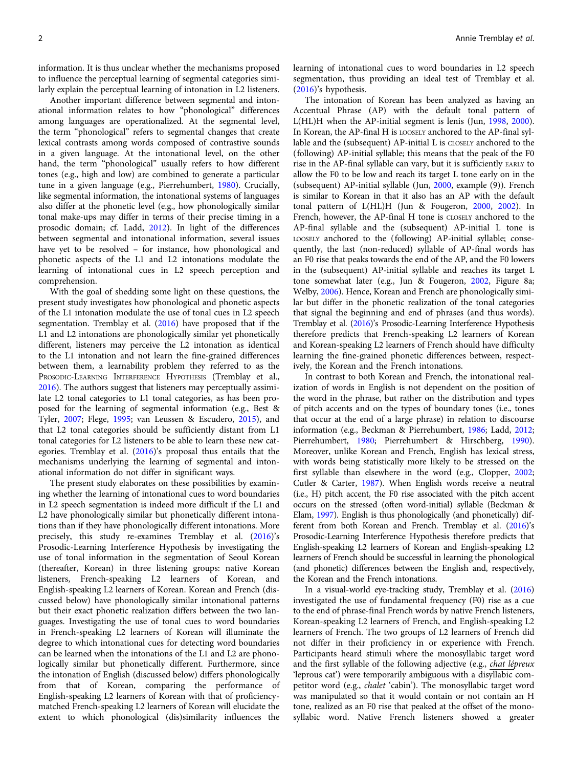information. It is thus unclear whether the mechanisms proposed to influence the perceptual learning of segmental categories similarly explain the perceptual learning of intonation in L2 listeners.

Another important difference between segmental and intonational information relates to how "phonological" differences among languages are operationalized. At the segmental level, the term "phonological" refers to segmental changes that create lexical contrasts among words composed of contrastive sounds in a given language. At the intonational level, on the other hand, the term "phonological" usually refers to how different tones (e.g., high and low) are combined to generate a particular tune in a given language (e.g., Pierrehumbert, [1980](#page-11-0)). Crucially, like segmental information, the intonational systems of languages also differ at the phonetic level (e.g., how phonologically similar tonal make-ups may differ in terms of their precise timing in a prosodic domain; cf. Ladd, [2012](#page-11-0)). In light of the differences between segmental and intonational information, several issues have yet to be resolved – for instance, how phonological and phonetic aspects of the L1 and L2 intonations modulate the learning of intonational cues in L2 speech perception and comprehension.

With the goal of shedding some light on these questions, the present study investigates how phonological and phonetic aspects of the L1 intonation modulate the use of tonal cues in L2 speech segmentation. Tremblay et al. [\(2016\)](#page-11-0) have proposed that if the L1 and L2 intonations are phonologically similar yet phonetically different, listeners may perceive the L2 intonation as identical to the L1 intonation and not learn the fine-grained differences between them, a learnability problem they referred to as the PROSODIC-LEARNING INTERFERENCE HYPOTHESIS (Tremblay et al., [2016\)](#page-11-0). The authors suggest that listeners may perceptually assimilate L2 tonal categories to L1 tonal categories, as has been proposed for the learning of segmental information (e.g., Best & Tyler, [2007](#page-11-0); Flege, [1995](#page-11-0); van Leussen & Escudero, [2015](#page-12-0)), and that L2 tonal categories should be sufficiently distant from L1 tonal categories for L2 listeners to be able to learn these new categories. Tremblay et al. [\(2016\)](#page-11-0)'s proposal thus entails that the mechanisms underlying the learning of segmental and intonational information do not differ in significant ways.

The present study elaborates on these possibilities by examining whether the learning of intonational cues to word boundaries in L2 speech segmentation is indeed more difficult if the L1 and L2 have phonologically similar but phonetically different intonations than if they have phonologically different intonations. More precisely, this study re-examines Tremblay et al. [\(2016](#page-11-0))'s Prosodic-Learning Interference Hypothesis by investigating the use of tonal information in the segmentation of Seoul Korean (thereafter, Korean) in three listening groups: native Korean listeners, French-speaking L2 learners of Korean, and English-speaking L2 learners of Korean. Korean and French (discussed below) have phonologically similar intonational patterns but their exact phonetic realization differs between the two languages. Investigating the use of tonal cues to word boundaries in French-speaking L2 learners of Korean will illuminate the degree to which intonational cues for detecting word boundaries can be learned when the intonations of the L1 and L2 are phonologically similar but phonetically different. Furthermore, since the intonation of English (discussed below) differs phonologically from that of Korean, comparing the performance of English-speaking L2 learners of Korean with that of proficiencymatched French-speaking L2 learners of Korean will elucidate the extent to which phonological (dis)similarity influences the

learning of intonational cues to word boundaries in L2 speech segmentation, thus providing an ideal test of Tremblay et al. ([2016\)](#page-11-0)'s hypothesis.

The intonation of Korean has been analyzed as having an Accentual Phrase (AP) with the default tonal pattern of L(HL)H when the AP-initial segment is lenis (Jun, [1998,](#page-11-0) [2000](#page-11-0)). In Korean, the AP-final H is LOOSELY anchored to the AP-final syllable and the (subsequent) AP-initial L is CLOSELY anchored to the (following) AP-initial syllable; this means that the peak of the F0 rise in the AP-final syllable can vary, but it is sufficiently EARLY to allow the F0 to be low and reach its target L tone early on in the (subsequent) AP-initial syllable (Jun, [2000,](#page-11-0) example (9)). French is similar to Korean in that it also has an AP with the default tonal pattern of L(HL)H (Jun & Fougeron, [2000](#page-11-0), [2002](#page-11-0)). In French, however, the AP-final H tone is CLOSELY anchored to the AP-final syllable and the (subsequent) AP-initial L tone is LOOSELY anchored to the (following) AP-initial syllable; consequently, the last (non-reduced) syllable of AP-final words has an F0 rise that peaks towards the end of the AP, and the F0 lowers in the (subsequent) AP-initial syllable and reaches its target L tone somewhat later (e.g., Jun & Fougeron, [2002](#page-11-0), Figure 8a; Welby, [2006](#page-12-0)). Hence, Korean and French are phonologically similar but differ in the phonetic realization of the tonal categories that signal the beginning and end of phrases (and thus words). Tremblay et al. [\(2016\)](#page-11-0)'s Prosodic-Learning Interference Hypothesis therefore predicts that French-speaking L2 learners of Korean and Korean-speaking L2 learners of French should have difficulty learning the fine-grained phonetic differences between, respectively, the Korean and the French intonations.

In contrast to both Korean and French, the intonational realization of words in English is not dependent on the position of the word in the phrase, but rather on the distribution and types of pitch accents and on the types of boundary tones (i.e., tones that occur at the end of a large phrase) in relation to discourse information (e.g., Beckman & Pierrehumbert, [1986](#page-11-0); Ladd, [2012;](#page-11-0) Pierrehumbert, [1980](#page-11-0); Pierrehumbert & Hirschberg, [1990](#page-11-0)). Moreover, unlike Korean and French, English has lexical stress, with words being statistically more likely to be stressed on the first syllable than elsewhere in the word (e.g., Clopper, [2002;](#page-11-0) Cutler & Carter, [1987](#page-11-0)). When English words receive a neutral (i.e., H) pitch accent, the F0 rise associated with the pitch accent occurs on the stressed (often word-initial) syllable (Beckman & Elam, [1997](#page-10-0)). English is thus phonologically (and phonetically) different from both Korean and French. Tremblay et al. ([2016](#page-11-0))'s Prosodic-Learning Interference Hypothesis therefore predicts that English-speaking L2 learners of Korean and English-speaking L2 learners of French should be successful in learning the phonological (and phonetic) differences between the English and, respectively, the Korean and the French intonations.

In a visual-world eye-tracking study, Tremblay et al. [\(2016](#page-11-0)) investigated the use of fundamental frequency (F0) rise as a cue to the end of phrase-final French words by native French listeners, Korean-speaking L2 learners of French, and English-speaking L2 learners of French. The two groups of L2 learners of French did not differ in their proficiency in or experience with French. Participants heard stimuli where the monosyllabic target word and the first syllable of the following adjective (e.g., chat lépreux 'leprous cat') were temporarily ambiguous with a disyllabic competitor word (e.g., chalet 'cabin'). The monosyllabic target word was manipulated so that it would contain or not contain an H tone, realized as an F0 rise that peaked at the offset of the monosyllabic word. Native French listeners showed a greater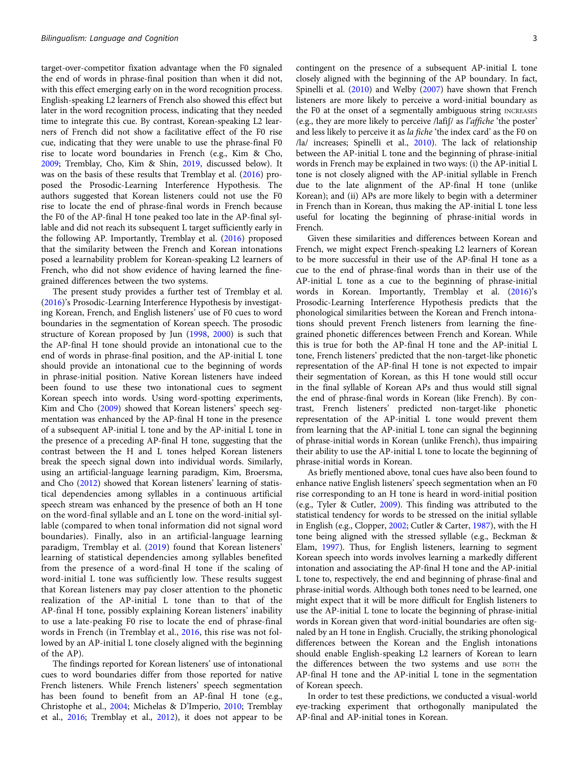target-over-competitor fixation advantage when the F0 signaled the end of words in phrase-final position than when it did not, with this effect emerging early on in the word recognition process. English-speaking L2 learners of French also showed this effect but later in the word recognition process, indicating that they needed time to integrate this cue. By contrast, Korean-speaking L2 learners of French did not show a facilitative effect of the F0 rise cue, indicating that they were unable to use the phrase-final F0 rise to locate word boundaries in French (e.g., Kim & Cho, [2009;](#page-11-0) Tremblay, Cho, Kim & Shin, [2019](#page-11-0), discussed below). It was on the basis of these results that Tremblay et al. [\(2016](#page-11-0)) proposed the Prosodic-Learning Interference Hypothesis. The authors suggested that Korean listeners could not use the F0 rise to locate the end of phrase-final words in French because the F0 of the AP-final H tone peaked too late in the AP-final syllable and did not reach its subsequent L target sufficiently early in the following AP. Importantly, Tremblay et al. ([2016\)](#page-11-0) proposed that the similarity between the French and Korean intonations posed a learnability problem for Korean-speaking L2 learners of French, who did not show evidence of having learned the finegrained differences between the two systems.

The present study provides a further test of Tremblay et al. ([2016](#page-11-0))'s Prosodic-Learning Interference Hypothesis by investigating Korean, French, and English listeners' use of F0 cues to word boundaries in the segmentation of Korean speech. The prosodic structure of Korean proposed by Jun ([1998](#page-11-0), [2000\)](#page-11-0) is such that the AP-final H tone should provide an intonational cue to the end of words in phrase-final position, and the AP-initial L tone should provide an intonational cue to the beginning of words in phrase-initial position. Native Korean listeners have indeed been found to use these two intonational cues to segment Korean speech into words. Using word-spotting experiments, Kim and Cho ([2009](#page-11-0)) showed that Korean listeners' speech segmentation was enhanced by the AP-final H tone in the presence of a subsequent AP-initial L tone and by the AP-initial L tone in the presence of a preceding AP-final H tone, suggesting that the contrast between the H and L tones helped Korean listeners break the speech signal down into individual words. Similarly, using an artificial-language learning paradigm, Kim, Broersma, and Cho ([2012\)](#page-11-0) showed that Korean listeners' learning of statistical dependencies among syllables in a continuous artificial speech stream was enhanced by the presence of both an H tone on the word-final syllable and an L tone on the word-initial syllable (compared to when tonal information did not signal word boundaries). Finally, also in an artificial-language learning paradigm, Tremblay et al. [\(2019](#page-11-0)) found that Korean listeners' learning of statistical dependencies among syllables benefited from the presence of a word-final H tone if the scaling of word-initial L tone was sufficiently low. These results suggest that Korean listeners may pay closer attention to the phonetic realization of the AP-initial L tone than to that of the AP-final H tone, possibly explaining Korean listeners' inability to use a late-peaking F0 rise to locate the end of phrase-final words in French (in Tremblay et al., [2016](#page-11-0), this rise was not followed by an AP-initial L tone closely aligned with the beginning of the AP).

The findings reported for Korean listeners' use of intonational cues to word boundaries differ from those reported for native French listeners. While French listeners' speech segmentation has been found to benefit from an AP-final H tone (e.g., Christophe et al., [2004;](#page-11-0) Michelas & D'Imperio, [2010;](#page-11-0) Tremblay et al., [2016;](#page-11-0) Tremblay et al., [2012\)](#page-11-0), it does not appear to be contingent on the presence of a subsequent AP-initial L tone closely aligned with the beginning of the AP boundary. In fact, Spinelli et al. ([2010\)](#page-11-0) and Welby [\(2007\)](#page-12-0) have shown that French listeners are more likely to perceive a word-initial boundary as the F0 at the onset of a segmentally ambiguous string INCREASES (e.g., they are more likely to perceive /lafiʃ/ as l'affiche 'the poster' and less likely to perceive it as la fiche 'the index card' as the F0 on /la/ increases; Spinelli et al., [2010](#page-11-0)). The lack of relationship between the AP-initial L tone and the beginning of phrase-initial words in French may be explained in two ways: (i) the AP-initial L tone is not closely aligned with the AP-initial syllable in French due to the late alignment of the AP-final H tone (unlike Korean); and (ii) APs are more likely to begin with a determiner in French than in Korean, thus making the AP-initial L tone less useful for locating the beginning of phrase-initial words in French.

Given these similarities and differences between Korean and French, we might expect French-speaking L2 learners of Korean to be more successful in their use of the AP-final H tone as a cue to the end of phrase-final words than in their use of the AP-initial L tone as a cue to the beginning of phrase-initial words in Korean. Importantly, Tremblay et al. ([2016\)](#page-11-0)'s Prosodic-Learning Interference Hypothesis predicts that the phonological similarities between the Korean and French intonations should prevent French listeners from learning the finegrained phonetic differences between French and Korean. While this is true for both the AP-final H tone and the AP-initial L tone, French listeners' predicted that the non-target-like phonetic representation of the AP-final H tone is not expected to impair their segmentation of Korean, as this H tone would still occur in the final syllable of Korean APs and thus would still signal the end of phrase-final words in Korean (like French). By contrast, French listeners' predicted non-target-like phonetic representation of the AP-initial L tone would prevent them from learning that the AP-initial L tone can signal the beginning of phrase-initial words in Korean (unlike French), thus impairing their ability to use the AP-initial L tone to locate the beginning of phrase-initial words in Korean.

As briefly mentioned above, tonal cues have also been found to enhance native English listeners' speech segmentation when an F0 rise corresponding to an H tone is heard in word-initial position (e.g., Tyler & Cutler, [2009](#page-12-0)). This finding was attributed to the statistical tendency for words to be stressed on the initial syllable in English (e.g., Clopper, [2002](#page-11-0); Cutler & Carter, [1987](#page-11-0)), with the H tone being aligned with the stressed syllable (e.g., Beckman & Elam, [1997](#page-10-0)). Thus, for English listeners, learning to segment Korean speech into words involves learning a markedly different intonation and associating the AP-final H tone and the AP-initial L tone to, respectively, the end and beginning of phrase-final and phrase-initial words. Although both tones need to be learned, one might expect that it will be more difficult for English listeners to use the AP-initial L tone to locate the beginning of phrase-initial words in Korean given that word-initial boundaries are often signaled by an H tone in English. Crucially, the striking phonological differences between the Korean and the English intonations should enable English-speaking L2 learners of Korean to learn the differences between the two systems and use BOTH the AP-final H tone and the AP-initial L tone in the segmentation of Korean speech.

In order to test these predictions, we conducted a visual-world eye-tracking experiment that orthogonally manipulated the AP-final and AP-initial tones in Korean.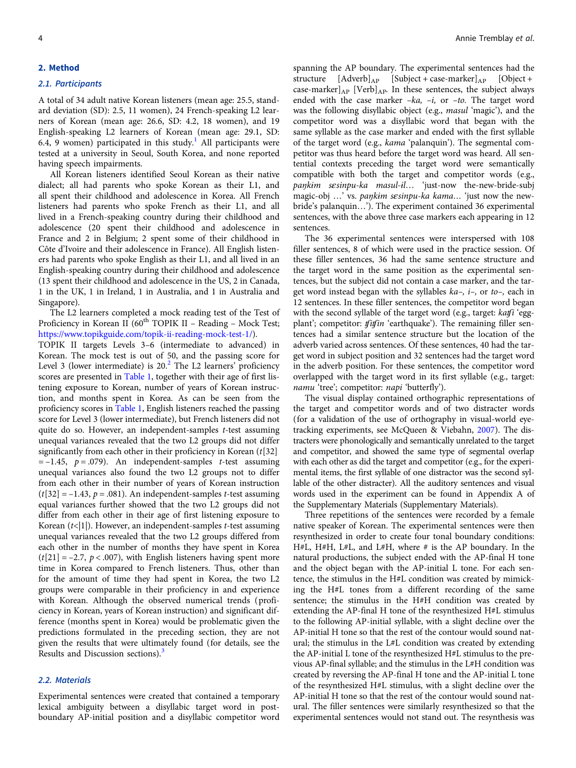#### 2. Method

#### 2.1. Participants

A total of 34 adult native Korean listeners (mean age: 25.5, standard deviation (SD): 2.5, 11 women), 24 French-speaking L2 learners of Korean (mean age: 26.6, SD: 4.2, 18 women), and 19 English-speaking L2 learners of Korean (mean age: 29.1, SD: 6.4, 9 women) participated in this study.<sup>[1](#page-10-0)</sup> All participants were tested at a university in Seoul, South Korea, and none reported having speech impairments.

All Korean listeners identified Seoul Korean as their native dialect; all had parents who spoke Korean as their L1, and all spent their childhood and adolescence in Korea. All French listeners had parents who spoke French as their L1, and all lived in a French-speaking country during their childhood and adolescence (20 spent their childhood and adolescence in France and 2 in Belgium; 2 spent some of their childhood in Côte d'Ivoire and their adolescence in France). All English listeners had parents who spoke English as their L1, and all lived in an English-speaking country during their childhood and adolescence (13 spent their childhood and adolescence in the US, 2 in Canada, 1 in the UK, 1 in Ireland, 1 in Australia, and 1 in Australia and Singapore).

The L2 learners completed a mock reading test of the Test of Proficiency in Korean II (60<sup>th</sup> TOPIK II - Reading - Mock Test; <https://www.topikguide.com/topik-ii-reading-mock-test-1/>).

TOPIK II targets Levels 3–6 (intermediate to advanced) in Korean. The mock test is out of 50, and the passing score for Level 3 (lower intermediate) is  $20<sup>2</sup>$  $20<sup>2</sup>$  The L2 learners' proficiency scores are presented in [Table 1,](#page-4-0) together with their age of first listening exposure to Korean, number of years of Korean instruction, and months spent in Korea. As can be seen from the proficiency scores in [Table 1](#page-4-0), English listeners reached the passing score for Level 3 (lower intermediate), but French listeners did not quite do so. However, an independent-samples t-test assuming unequal variances revealed that the two L2 groups did not differ significantly from each other in their proficiency in Korean  $(t[32])$  $= -1.45$ ,  $p = .079$ ). An independent-samples *t*-test assuming unequal variances also found the two L2 groups not to differ from each other in their number of years of Korean instruction  $(t[32] = -1.43, p = .081)$ . An independent-samples *t*-test assuming equal variances further showed that the two L2 groups did not differ from each other in their age of first listening exposure to Korean  $(t<|1|)$ . However, an independent-samples t-test assuming unequal variances revealed that the two L2 groups differed from each other in the number of months they have spent in Korea  $(t[21] = -2.7, p < .007)$ , with English listeners having spent more time in Korea compared to French listeners. Thus, other than for the amount of time they had spent in Korea, the two L2 groups were comparable in their proficiency in and experience with Korean. Although the observed numerical trends (proficiency in Korean, years of Korean instruction) and significant difference (months spent in Korea) would be problematic given the predictions formulated in the preceding section, they are not given the results that were ultimately found (for details, see the Results and Discussion sections).<sup>[3](#page-10-0)</sup>

#### 2.2. Materials

Experimental sentences were created that contained a temporary lexical ambiguity between a disyllabic target word in postboundary AP-initial position and a disyllabic competitor word

spanning the AP boundary. The experimental sentences had the structure  $[Adverb]_{AP}$  [Subject + case-marker] $_{AP}$  [Object + case-marker] $_{AP}$  [Verb] $_{AP}$ . In these sentences, the subject always ended with the case marker  $-ka$ ,  $-i$ , or  $-to$ . The target word was the following disyllabic object (e.g., masul 'magic'), and the competitor word was a disyllabic word that began with the same syllable as the case marker and ended with the first syllable of the target word (e.g., kama 'palanquin'). The segmental competitor was thus heard before the target word was heard. All sentential contexts preceding the target word were semantically compatible with both the target and competitor words (e.g., paŋkim sesinpu-ka masul-il... 'just-now the-new-bride-subj magic-obj ...' vs. paŋkim sesinpu-ka kama... 'just now the newbride's palanquin…'). The experiment contained 36 experimental sentences, with the above three case markers each appearing in 12 sentences.

The 36 experimental sentences were interspersed with 108 filler sentences, 8 of which were used in the practice session. Of these filler sentences, 36 had the same sentence structure and the target word in the same position as the experimental sentences, but the subject did not contain a case marker, and the target word instead began with the syllables  $ka-$ ,  $i-$ , or  $to-$ , each in 12 sentences. In these filler sentences, the competitor word began with the second syllable of the target word (e.g., target: katfi 'eggplant'; competitor: *tfitfin* 'earthquake'). The remaining filler sentences had a similar sentence structure but the location of the adverb varied across sentences. Of these sentences, 40 had the target word in subject position and 32 sentences had the target word in the adverb position. For these sentences, the competitor word overlapped with the target word in its first syllable (e.g., target: namu 'tree'; competitor: napi 'butterfly').

The visual display contained orthographic representations of the target and competitor words and of two distracter words (for a validation of the use of orthography in visual-world eyetracking experiments, see McQueen & Viebahn, [2007\)](#page-11-0). The distracters were phonologically and semantically unrelated to the target and competitor, and showed the same type of segmental overlap with each other as did the target and competitor (e.g., for the experimental items, the first syllable of one distractor was the second syllable of the other distracter). All the auditory sentences and visual words used in the experiment can be found in Appendix A of the Supplementary Materials (Supplementary Materials).

Three repetitions of the sentences were recorded by a female native speaker of Korean. The experimental sentences were then resynthesized in order to create four tonal boundary conditions: H#L, H#H, L#L, and L#H, where # is the AP boundary. In the natural productions, the subject ended with the AP-final H tone and the object began with the AP-initial L tone. For each sentence, the stimulus in the H#L condition was created by mimicking the H#L tones from a different recording of the same sentence; the stimulus in the H#H condition was created by extending the AP-final H tone of the resynthesized H#L stimulus to the following AP-initial syllable, with a slight decline over the AP-initial H tone so that the rest of the contour would sound natural; the stimulus in the L#L condition was created by extending the AP-initial L tone of the resynthesized H#L stimulus to the previous AP-final syllable; and the stimulus in the L#H condition was created by reversing the AP-final H tone and the AP-initial L tone of the resynthesized H#L stimulus, with a slight decline over the AP-initial H tone so that the rest of the contour would sound natural. The filler sentences were similarly resynthesized so that the experimental sentences would not stand out. The resynthesis was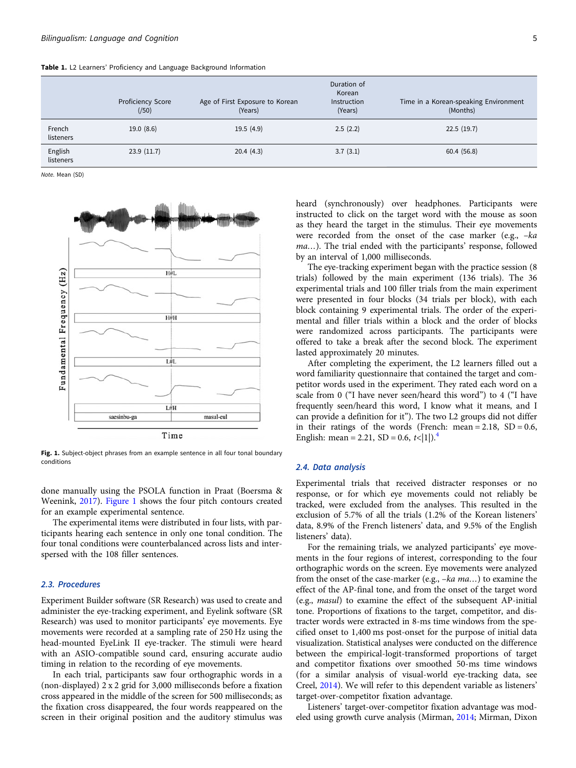<span id="page-4-0"></span>Table 1. L2 Learners' Proficiency and Language Background Information

|                      | Proficiency Score<br>(750) | Age of First Exposure to Korean<br>(Years) | Duration of<br>Korean<br>Instruction<br>(Years) | Time in a Korean-speaking Environment<br>(Months) |
|----------------------|----------------------------|--------------------------------------------|-------------------------------------------------|---------------------------------------------------|
| French<br>listeners  | 19.0(8.6)                  | 19.5(4.9)                                  | 2.5(2.2)                                        | 22.5(19.7)                                        |
| English<br>listeners | 23.9(11.7)                 | 20.4(4.3)                                  | 3.7(3.1)                                        | 60.4(56.8)                                        |

Note. Mean (SD)



Fig. 1. Subject-object phrases from an example sentence in all four tonal boundary conditions

done manually using the PSOLA function in Praat (Boersma & Weenink, [2017\)](#page-11-0). Figure 1 shows the four pitch contours created for an example experimental sentence.

The experimental items were distributed in four lists, with participants hearing each sentence in only one tonal condition. The four tonal conditions were counterbalanced across lists and interspersed with the 108 filler sentences.

## 2.3. Procedures

Experiment Builder software (SR Research) was used to create and administer the eye-tracking experiment, and Eyelink software (SR Research) was used to monitor participants' eye movements. Eye movements were recorded at a sampling rate of 250 Hz using the head-mounted EyeLink II eye-tracker. The stimuli were heard with an ASIO-compatible sound card, ensuring accurate audio timing in relation to the recording of eye movements.

In each trial, participants saw four orthographic words in a (non-displayed) 2 x 2 grid for 3,000 milliseconds before a fixation cross appeared in the middle of the screen for 500 milliseconds; as the fixation cross disappeared, the four words reappeared on the screen in their original position and the auditory stimulus was

heard (synchronously) over headphones. Participants were instructed to click on the target word with the mouse as soon as they heard the target in the stimulus. Their eye movements were recorded from the onset of the case marker (e.g., –ka ma…). The trial ended with the participants' response, followed by an interval of 1,000 milliseconds.

The eye-tracking experiment began with the practice session (8 trials) followed by the main experiment (136 trials). The 36 experimental trials and 100 filler trials from the main experiment were presented in four blocks (34 trials per block), with each block containing 9 experimental trials. The order of the experimental and filler trials within a block and the order of blocks were randomized across participants. The participants were offered to take a break after the second block. The experiment lasted approximately 20 minutes.

After completing the experiment, the L2 learners filled out a word familiarity questionnaire that contained the target and competitor words used in the experiment. They rated each word on a scale from 0 ("I have never seen/heard this word") to 4 ("I have frequently seen/heard this word, I know what it means, and I can provide a definition for it"). The two L2 groups did not differ in their ratings of the words (French: mean =  $2.18$ , SD =  $0.6$ , English: mean = 2.21, SD = 0.6,  $t<|1|$ ).<sup>[4](#page-10-0)</sup>

## 2.4. Data analysis

Experimental trials that received distracter responses or no response, or for which eye movements could not reliably be tracked, were excluded from the analyses. This resulted in the exclusion of 5.7% of all the trials (1.2% of the Korean listeners' data, 8.9% of the French listeners' data, and 9.5% of the English listeners' data).

For the remaining trials, we analyzed participants' eye movements in the four regions of interest, corresponding to the four orthographic words on the screen. Eye movements were analyzed from the onset of the case-marker (e.g., –ka ma…) to examine the effect of the AP-final tone, and from the onset of the target word (e.g., masul) to examine the effect of the subsequent AP-initial tone. Proportions of fixations to the target, competitor, and distracter words were extracted in 8-ms time windows from the specified onset to 1,400 ms post-onset for the purpose of initial data visualization. Statistical analyses were conducted on the difference between the empirical-logit-transformed proportions of target and competitor fixations over smoothed 50-ms time windows (for a similar analysis of visual-world eye-tracking data, see Creel, [2014](#page-11-0)). We will refer to this dependent variable as listeners' target-over-competitor fixation advantage.

Listeners' target-over-competitor fixation advantage was modeled using growth curve analysis (Mirman, [2014;](#page-11-0) Mirman, Dixon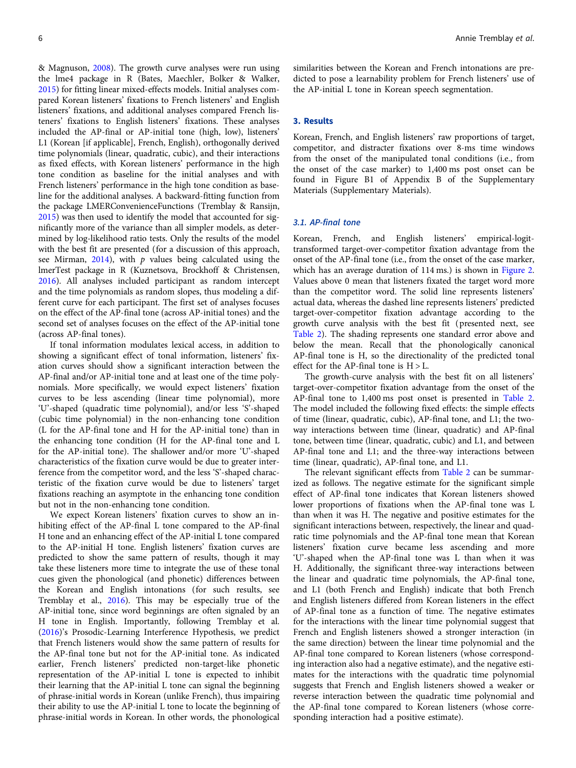& Magnuson, [2008](#page-11-0)). The growth curve analyses were run using the lme4 package in R (Bates, Maechler, Bolker & Walker, [2015\)](#page-10-0) for fitting linear mixed-effects models. Initial analyses compared Korean listeners' fixations to French listeners' and English listeners' fixations, and additional analyses compared French listeners' fixations to English listeners' fixations. These analyses included the AP-final or AP-initial tone (high, low), listeners' L1 (Korean [if applicable], French, English), orthogonally derived time polynomials (linear, quadratic, cubic), and their interactions as fixed effects, with Korean listeners' performance in the high tone condition as baseline for the initial analyses and with French listeners' performance in the high tone condition as baseline for the additional analyses. A backward-fitting function from the package LMERConvenienceFunctions (Tremblay & Ransijn, [2015\)](#page-12-0) was then used to identify the model that accounted for significantly more of the variance than all simpler models, as determined by log-likelihood ratio tests. Only the results of the model with the best fit are presented (for a discussion of this approach, see Mirman,  $2014$ ), with  $p$  values being calculated using the lmerTest package in R (Kuznetsova, Brockhoff & Christensen, [2016\)](#page-11-0). All analyses included participant as random intercept and the time polynomials as random slopes, thus modeling a different curve for each participant. The first set of analyses focuses on the effect of the AP-final tone (across AP-initial tones) and the second set of analyses focuses on the effect of the AP-initial tone (across AP-final tones).

If tonal information modulates lexical access, in addition to showing a significant effect of tonal information, listeners' fixation curves should show a significant interaction between the AP-final and/or AP-initial tone and at least one of the time polynomials. More specifically, we would expect listeners' fixation curves to be less ascending (linear time polynomial), more 'U'-shaped (quadratic time polynomial), and/or less 'S'-shaped (cubic time polynomial) in the non-enhancing tone condition (L for the AP-final tone and H for the AP-initial tone) than in the enhancing tone condition (H for the AP-final tone and L for the AP-initial tone). The shallower and/or more 'U'-shaped characteristics of the fixation curve would be due to greater interference from the competitor word, and the less 'S'-shaped characteristic of the fixation curve would be due to listeners' target fixations reaching an asymptote in the enhancing tone condition but not in the non-enhancing tone condition.

We expect Korean listeners' fixation curves to show an inhibiting effect of the AP-final L tone compared to the AP-final H tone and an enhancing effect of the AP-initial L tone compared to the AP-initial H tone. English listeners' fixation curves are predicted to show the same pattern of results, though it may take these listeners more time to integrate the use of these tonal cues given the phonological (and phonetic) differences between the Korean and English intonations (for such results, see Tremblay et al., [2016](#page-11-0)). This may be especially true of the AP-initial tone, since word beginnings are often signaled by an H tone in English. Importantly, following Tremblay et al. ([2016](#page-11-0))'s Prosodic-Learning Interference Hypothesis, we predict that French listeners would show the same pattern of results for the AP-final tone but not for the AP-initial tone. As indicated earlier, French listeners' predicted non-target-like phonetic representation of the AP-initial L tone is expected to inhibit their learning that the AP-initial L tone can signal the beginning of phrase-initial words in Korean (unlike French), thus impairing their ability to use the AP-initial L tone to locate the beginning of phrase-initial words in Korean. In other words, the phonological

similarities between the Korean and French intonations are predicted to pose a learnability problem for French listeners' use of the AP-initial L tone in Korean speech segmentation.

## 3. Results

Korean, French, and English listeners' raw proportions of target, competitor, and distracter fixations over 8-ms time windows from the onset of the manipulated tonal conditions (i.e., from the onset of the case marker) to 1,400 ms post onset can be found in Figure B1 of Appendix B of the Supplementary Materials (Supplementary Materials).

### 3.1. AP-final tone

Korean, French, and English listeners' empirical-logittransformed target-over-competitor fixation advantage from the onset of the AP-final tone (i.e., from the onset of the case marker, which has an average duration of 114 ms.) is shown in [Figure 2.](#page-6-0) Values above 0 mean that listeners fixated the target word more than the competitor word. The solid line represents listeners' actual data, whereas the dashed line represents listeners' predicted target-over-competitor fixation advantage according to the growth curve analysis with the best fit (presented next, see [Table 2\)](#page-7-0). The shading represents one standard error above and below the mean. Recall that the phonologically canonical AP-final tone is H, so the directionality of the predicted tonal effect for the AP-final tone is  $H > L$ .

The growth-curve analysis with the best fit on all listeners' target-over-competitor fixation advantage from the onset of the AP-final tone to 1,400 ms post onset is presented in [Table 2.](#page-7-0) The model included the following fixed effects: the simple effects of time (linear, quadratic, cubic), AP-final tone, and L1; the twoway interactions between time (linear, quadratic) and AP-final tone, between time (linear, quadratic, cubic) and L1, and between AP-final tone and L1; and the three-way interactions between time (linear, quadratic), AP-final tone, and L1.

The relevant significant effects from [Table 2](#page-7-0) can be summarized as follows. The negative estimate for the significant simple effect of AP-final tone indicates that Korean listeners showed lower proportions of fixations when the AP-final tone was L than when it was H. The negative and positive estimates for the significant interactions between, respectively, the linear and quadratic time polynomials and the AP-final tone mean that Korean listeners' fixation curve became less ascending and more 'U'-shaped when the AP-final tone was L than when it was H. Additionally, the significant three-way interactions between the linear and quadratic time polynomials, the AP-final tone, and L1 (both French and English) indicate that both French and English listeners differed from Korean listeners in the effect of AP-final tone as a function of time. The negative estimates for the interactions with the linear time polynomial suggest that French and English listeners showed a stronger interaction (in the same direction) between the linear time polynomial and the AP-final tone compared to Korean listeners (whose corresponding interaction also had a negative estimate), and the negative estimates for the interactions with the quadratic time polynomial suggests that French and English listeners showed a weaker or reverse interaction between the quadratic time polynomial and the AP-final tone compared to Korean listeners (whose corresponding interaction had a positive estimate).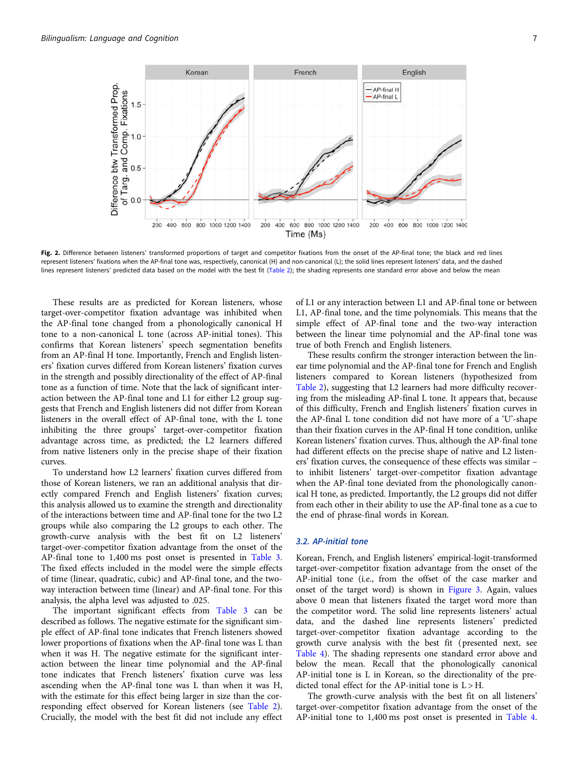<span id="page-6-0"></span>

Fig. 2. Difference between listeners' transformed proportions of target and competitor fixations from the onset of the AP-final tone; the black and red lines represent listeners' fixations when the AP-final tone was, respectively, canonical (H) and non-canonical (L); the solid lines represent listeners' data, and the dashed lines represent listeners' predicted data based on the model with the best fit [\(Table 2](#page-7-0)); the shading represents one standard error above and below the mean

These results are as predicted for Korean listeners, whose target-over-competitor fixation advantage was inhibited when the AP-final tone changed from a phonologically canonical H tone to a non-canonical L tone (across AP-initial tones). This confirms that Korean listeners' speech segmentation benefits from an AP-final H tone. Importantly, French and English listeners' fixation curves differed from Korean listeners' fixation curves in the strength and possibly directionality of the effect of AP-final tone as a function of time. Note that the lack of significant interaction between the AP-final tone and L1 for either L2 group suggests that French and English listeners did not differ from Korean listeners in the overall effect of AP-final tone, with the L tone inhibiting the three groups' target-over-competitor fixation advantage across time, as predicted; the L2 learners differed from native listeners only in the precise shape of their fixation curves.

To understand how L2 learners' fixation curves differed from those of Korean listeners, we ran an additional analysis that directly compared French and English listeners' fixation curves; this analysis allowed us to examine the strength and directionality of the interactions between time and AP-final tone for the two L2 groups while also comparing the L2 groups to each other. The growth-curve analysis with the best fit on L2 listeners' target-over-competitor fixation advantage from the onset of the AP-final tone to 1,400 ms post onset is presented in [Table 3.](#page-7-0) The fixed effects included in the model were the simple effects of time (linear, quadratic, cubic) and AP-final tone, and the twoway interaction between time (linear) and AP-final tone. For this analysis, the alpha level was adjusted to .025.

The important significant effects from [Table 3](#page-7-0) can be described as follows. The negative estimate for the significant simple effect of AP-final tone indicates that French listeners showed lower proportions of fixations when the AP-final tone was L than when it was H. The negative estimate for the significant interaction between the linear time polynomial and the AP-final tone indicates that French listeners' fixation curve was less ascending when the AP-final tone was L than when it was H, with the estimate for this effect being larger in size than the corresponding effect observed for Korean listeners (see [Table 2\)](#page-7-0). Crucially, the model with the best fit did not include any effect of L1 or any interaction between L1 and AP-final tone or between L1, AP-final tone, and the time polynomials. This means that the simple effect of AP-final tone and the two-way interaction between the linear time polynomial and the AP-final tone was true of both French and English listeners.

These results confirm the stronger interaction between the linear time polynomial and the AP-final tone for French and English listeners compared to Korean listeners (hypothesized from [Table 2\)](#page-7-0), suggesting that L2 learners had more difficulty recovering from the misleading AP-final L tone. It appears that, because of this difficulty, French and English listeners' fixation curves in the AP-final L tone condition did not have more of a 'U'-shape than their fixation curves in the AP-final H tone condition, unlike Korean listeners' fixation curves. Thus, although the AP-final tone had different effects on the precise shape of native and L2 listeners' fixation curves, the consequence of these effects was similar – to inhibit listeners' target-over-competitor fixation advantage when the AP-final tone deviated from the phonologically canonical H tone, as predicted. Importantly, the L2 groups did not differ from each other in their ability to use the AP-final tone as a cue to the end of phrase-final words in Korean.

#### 3.2. AP-initial tone

Korean, French, and English listeners' empirical-logit-transformed target-over-competitor fixation advantage from the onset of the AP-initial tone (i.e., from the offset of the case marker and onset of the target word) is shown in [Figure 3.](#page-8-0) Again, values above 0 mean that listeners fixated the target word more than the competitor word. The solid line represents listeners' actual data, and the dashed line represents listeners' predicted target-over-competitor fixation advantage according to the growth curve analysis with the best fit (presented next, see [Table 4](#page-8-0)). The shading represents one standard error above and below the mean. Recall that the phonologically canonical AP-initial tone is L in Korean, so the directionality of the predicted tonal effect for the AP-initial tone is  $L > H$ .

The growth-curve analysis with the best fit on all listeners' target-over-competitor fixation advantage from the onset of the AP-initial tone to 1,400 ms post onset is presented in [Table 4](#page-8-0).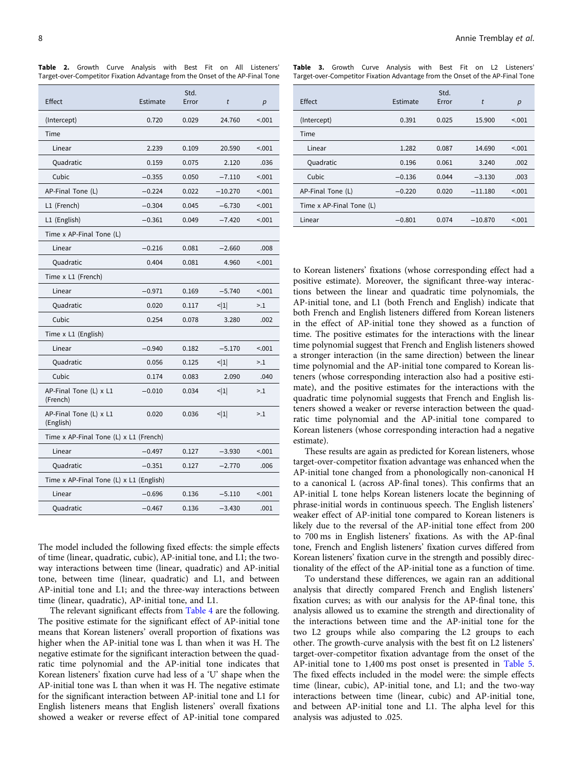|                                         |          | Std.  |                   |        |  |  |  |
|-----------------------------------------|----------|-------|-------------------|--------|--|--|--|
| Effect                                  | Estimate | Error | t                 | p      |  |  |  |
| (Intercept)                             | 0.720    | 0.029 | 24.760            | < .001 |  |  |  |
| Time                                    |          |       |                   |        |  |  |  |
| Linear                                  | 2.239    | 0.109 | 20.590            | < 0.01 |  |  |  |
| Quadratic                               | 0.159    | 0.075 | 2.120             | .036   |  |  |  |
| Cubic                                   | $-0.355$ | 0.050 | $-7.110$          | < 0.01 |  |  |  |
| AP-Final Tone (L)                       | $-0.224$ | 0.022 | $-10.270$         | < 0.01 |  |  |  |
| L1 (French)                             | $-0.304$ | 0.045 | $-6.730$          | < 0.01 |  |  |  |
| L1 (English)                            | $-0.361$ | 0.049 | $-7.420$          | < 0.01 |  |  |  |
| Time x AP-Final Tone (L)                |          |       |                   |        |  |  |  |
| Linear                                  | $-0.216$ | 0.081 | $-2.660$          | .008   |  |  |  |
| Quadratic                               | 0.404    | 0.081 | 4.960             | < 0.01 |  |  |  |
| Time x L1 (French)                      |          |       |                   |        |  |  |  |
| Linear                                  | $-0.971$ | 0.169 | $-5.740$          | < .001 |  |  |  |
| Quadratic                               | 0.020    | 0.117 | $\leq$ 1          | >1     |  |  |  |
| Cubic                                   | 0.254    | 0.078 | 3.280             | .002   |  |  |  |
| Time x L1 (English)                     |          |       |                   |        |  |  |  |
| Linear                                  | $-0.940$ | 0.182 | $-5.170$          | < 0.01 |  |  |  |
| Quadratic                               | 0.056    | 0.125 | $\triangleleft 1$ | >1     |  |  |  |
| Cubic                                   | 0.174    | 0.083 | 2.090             | .040   |  |  |  |
| AP-Final Tone (L) x L1<br>(French)      | $-0.010$ | 0.034 | < 1               | >1     |  |  |  |
| AP-Final Tone (L) x L1<br>(English)     | 0.020    | 0.036 | < 1               | >1     |  |  |  |
| Time x AP-Final Tone (L) x L1 (French)  |          |       |                   |        |  |  |  |
| Linear                                  | $-0.497$ | 0.127 | $-3.930$          | < .001 |  |  |  |
| Quadratic                               | $-0.351$ | 0.127 | $-2.770$          | .006   |  |  |  |
| Time x AP-Final Tone (L) x L1 (English) |          |       |                   |        |  |  |  |
| Linear                                  | $-0.696$ | 0.136 | $-5.110$          | < .001 |  |  |  |
| Quadratic                               | $-0.467$ | 0.136 | $-3.430$          | .001   |  |  |  |

<span id="page-7-0"></span>Table 2. Growth Curve Analysis with Best Fit on All Listeners' Target-over-Competitor Fixation Advantage from the Onset of the AP-Final Tone

The model included the following fixed effects: the simple effects of time (linear, quadratic, cubic), AP-initial tone, and L1; the twoway interactions between time (linear, quadratic) and AP-initial tone, between time (linear, quadratic) and L1, and between AP-initial tone and L1; and the three-way interactions between time (linear, quadratic), AP-initial tone, and L1.

The relevant significant effects from [Table 4](#page-8-0) are the following. The positive estimate for the significant effect of AP-initial tone means that Korean listeners' overall proportion of fixations was higher when the AP-initial tone was L than when it was H. The negative estimate for the significant interaction between the quadratic time polynomial and the AP-initial tone indicates that Korean listeners' fixation curve had less of a 'U' shape when the AP-initial tone was L than when it was H. The negative estimate for the significant interaction between AP-initial tone and L1 for English listeners means that English listeners' overall fixations showed a weaker or reverse effect of AP-initial tone compared

|  |  |  |  |  | Table 3. Growth Curve Analysis with Best Fit on L2 Listeners'                 |
|--|--|--|--|--|-------------------------------------------------------------------------------|
|  |  |  |  |  | Target-over-Competitor Fixation Advantage from the Onset of the AP-Final Tone |

|                          |          | Std.  |           |        |
|--------------------------|----------|-------|-----------|--------|
| Effect                   | Estimate | Error | t         | p      |
| (Intercept)              | 0.391    | 0.025 | 15.900    | < 0.01 |
| Time                     |          |       |           |        |
| Linear                   | 1.282    | 0.087 | 14.690    | < 0.01 |
| Quadratic                | 0.196    | 0.061 | 3.240     | .002   |
| Cubic                    | $-0.136$ | 0.044 | $-3.130$  | .003   |
| AP-Final Tone (L)        | $-0.220$ | 0.020 | $-11.180$ | < 0.01 |
| Time x AP-Final Tone (L) |          |       |           |        |
| Linear                   | $-0.801$ | 0.074 | $-10.870$ | < 0.01 |

to Korean listeners' fixations (whose corresponding effect had a positive estimate). Moreover, the significant three-way interactions between the linear and quadratic time polynomials, the AP-initial tone, and L1 (both French and English) indicate that both French and English listeners differed from Korean listeners in the effect of AP-initial tone they showed as a function of time. The positive estimates for the interactions with the linear time polynomial suggest that French and English listeners showed a stronger interaction (in the same direction) between the linear time polynomial and the AP-initial tone compared to Korean listeners (whose corresponding interaction also had a positive estimate), and the positive estimates for the interactions with the quadratic time polynomial suggests that French and English listeners showed a weaker or reverse interaction between the quadratic time polynomial and the AP-initial tone compared to Korean listeners (whose corresponding interaction had a negative estimate).

These results are again as predicted for Korean listeners, whose target-over-competitor fixation advantage was enhanced when the AP-initial tone changed from a phonologically non-canonical H to a canonical L (across AP-final tones). This confirms that an AP-initial L tone helps Korean listeners locate the beginning of phrase-initial words in continuous speech. The English listeners' weaker effect of AP-initial tone compared to Korean listeners is likely due to the reversal of the AP-initial tone effect from 200 to 700 ms in English listeners' fixations. As with the AP-final tone, French and English listeners' fixation curves differed from Korean listeners' fixation curve in the strength and possibly directionality of the effect of the AP-initial tone as a function of time.

To understand these differences, we again ran an additional analysis that directly compared French and English listeners' fixation curves; as with our analysis for the AP-final tone, this analysis allowed us to examine the strength and directionality of the interactions between time and the AP-initial tone for the two L2 groups while also comparing the L2 groups to each other. The growth-curve analysis with the best fit on L2 listeners' target-over-competitor fixation advantage from the onset of the AP-initial tone to 1,400 ms post onset is presented in [Table 5.](#page-8-0) The fixed effects included in the model were: the simple effects time (linear, cubic), AP-initial tone, and L1; and the two-way interactions between time (linear, cubic) and AP-initial tone, and between AP-initial tone and L1. The alpha level for this analysis was adjusted to .025.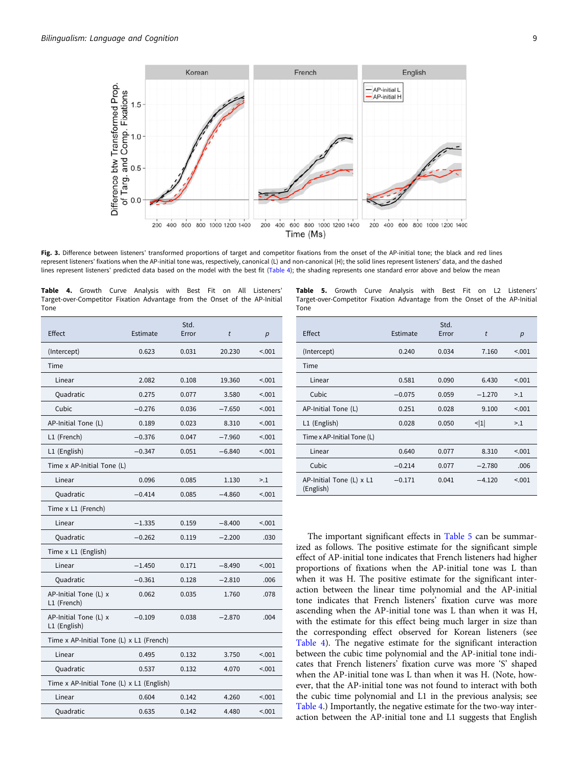<span id="page-8-0"></span>

Fig. 3. Difference between listeners' transformed proportions of target and competitor fixations from the onset of the AP-initial tone; the black and red lines represent listeners' fixations when the AP-initial tone was, respectively, canonical (L) and non-canonical (H); the solid lines represent listeners' data, and the dashed lines represent listeners' predicted data based on the model with the best fit (Table 4); the shading represents one standard error above and below the mean

|      |  |  |  |  | Table 4. Growth Curve Analysis with Best Fit on All Listeners'             |
|------|--|--|--|--|----------------------------------------------------------------------------|
|      |  |  |  |  | Target-over-Competitor Fixation Advantage from the Onset of the AP-Initial |
| Tone |  |  |  |  |                                                                            |

| Effect                                    | Estimate | Std.<br>Error | t        | p       |  |  |  |
|-------------------------------------------|----------|---------------|----------|---------|--|--|--|
| (Intercept)                               | 0.623    | 0.031         | 20.230   | < 0.01  |  |  |  |
| Time                                      |          |               |          |         |  |  |  |
| Linear                                    | 2.082    | 0.108         | 19.360   | < .001  |  |  |  |
| Quadratic                                 | 0.275    | 0.077         | 3.580    | < 0.01  |  |  |  |
| Cubic                                     | $-0.276$ | 0.036         | $-7.650$ | < 0.01  |  |  |  |
| AP-Initial Tone (L)                       | 0.189    | 0.023         | 8.310    | < 0.01  |  |  |  |
| L1 (French)                               | $-0.376$ | 0.047         | $-7.960$ | < 0.001 |  |  |  |
| L1 (English)                              | $-0.347$ | 0.051         | $-6.840$ | < 0.01  |  |  |  |
| Time x AP-Initial Tone (L)                |          |               |          |         |  |  |  |
| Linear                                    | 0.096    | 0.085         | 1.130    | >1      |  |  |  |
| Quadratic                                 | $-0.414$ | 0.085         | $-4.860$ | < 0.01  |  |  |  |
| Time x L1 (French)                        |          |               |          |         |  |  |  |
| Linear                                    | $-1.335$ | 0.159         | $-8.400$ | < .001  |  |  |  |
| Quadratic                                 | $-0.262$ | 0.119         | $-2.200$ | .030    |  |  |  |
| Time x L1 (English)                       |          |               |          |         |  |  |  |
| Linear                                    | $-1.450$ | 0.171         | $-8.490$ | < .001  |  |  |  |
| Quadratic                                 | $-0.361$ | 0.128         | $-2.810$ | .006    |  |  |  |
| AP-Initial Tone (L) x<br>L1 (French)      | 0.062    | 0.035         | 1.760    | .078    |  |  |  |
| AP-Initial Tone (L) x<br>L1 (English)     | $-0.109$ | 0.038         | $-2.870$ | .004    |  |  |  |
| Time x AP-Initial Tone (L) x L1 (French)  |          |               |          |         |  |  |  |
| Linear                                    | 0.495    | 0.132         | 3.750    | < .001  |  |  |  |
| Quadratic                                 | 0.537    | 0.132         | 4.070    | < .001  |  |  |  |
| Time x AP-Initial Tone (L) x L1 (English) |          |               |          |         |  |  |  |
| Linear                                    | 0.604    | 0.142         | 4.260    | < 0.01  |  |  |  |
| Quadratic                                 | 0.635    | 0.142         | 4.480    | < 0.01  |  |  |  |

Table 5. Growth Curve Analysis with Best Fit on L2 Listeners' Target-over-Competitor Fixation Advantage from the Onset of the AP-Initial Tone

| Effect                                | Estimate | Std.<br>Error | t        | p      |
|---------------------------------------|----------|---------------|----------|--------|
| (Intercept)                           | 0.240    | 0.034         | 7.160    | < 0.01 |
| Time                                  |          |               |          |        |
| Linear                                | 0.581    | 0.090         | 6.430    | < 0.01 |
| Cubic                                 | $-0.075$ | 0.059         | $-1.270$ | >1     |
| AP-Initial Tone (L)                   | 0.251    | 0.028         | 9.100    | < .001 |
| L1 (English)                          | 0.028    | 0.050         | $\leq$ 1 | >1     |
| Time x AP-Initial Tone (L)            |          |               |          |        |
| Linear                                | 0.640    | 0.077         | 8.310    | < 0.01 |
| Cubic                                 | $-0.214$ | 0.077         | $-2.780$ | .006   |
| AP-Initial Tone (L) x L1<br>(English) | $-0.171$ | 0.041         | $-4.120$ | < 0.01 |

The important significant effects in Table 5 can be summarized as follows. The positive estimate for the significant simple effect of AP-initial tone indicates that French listeners had higher proportions of fixations when the AP-initial tone was L than when it was H. The positive estimate for the significant interaction between the linear time polynomial and the AP-initial tone indicates that French listeners' fixation curve was more ascending when the AP-initial tone was L than when it was H, with the estimate for this effect being much larger in size than the corresponding effect observed for Korean listeners (see Table 4). The negative estimate for the significant interaction between the cubic time polynomial and the AP-initial tone indicates that French listeners' fixation curve was more 'S' shaped when the AP-initial tone was L than when it was H. (Note, however, that the AP-initial tone was not found to interact with both the cubic time polynomial and L1 in the previous analysis; see Table 4.) Importantly, the negative estimate for the two-way interaction between the AP-initial tone and L1 suggests that English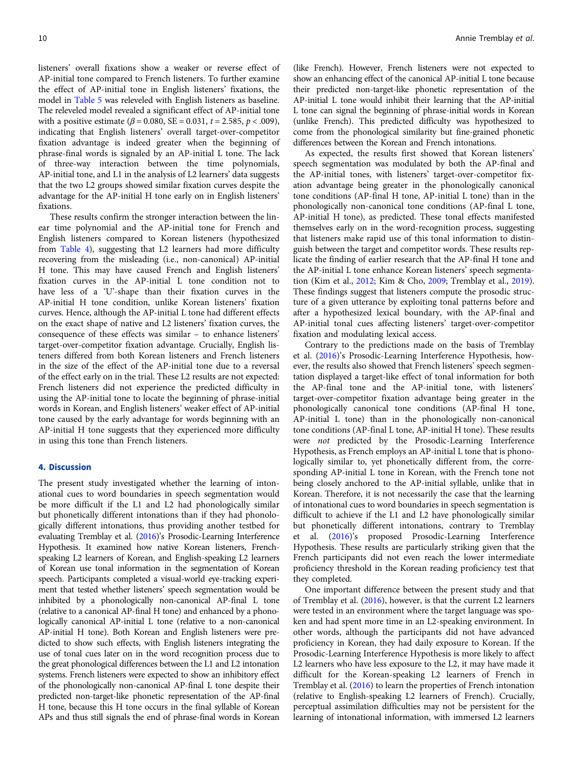listeners' overall fixations show a weaker or reverse effect of AP-initial tone compared to French listeners. To further examine the effect of AP-initial tone in English listeners' fixations, the model in [Table 5](#page-8-0) was releveled with English listeners as baseline. The releveled model revealed a significant effect of AP-initial tone with a positive estimate ( $\beta$  = 0.080, SE = 0.031, t = 2.585, p < .009), indicating that English listeners' overall target-over-competitor fixation advantage is indeed greater when the beginning of phrase-final words is signaled by an AP-initial L tone. The lack of three-way interaction between the time polynomials, AP-initial tone, and L1 in the analysis of L2 learners' data suggests that the two L2 groups showed similar fixation curves despite the advantage for the AP-initial H tone early on in English listeners' fixations.

These results confirm the stronger interaction between the linear time polynomial and the AP-initial tone for French and English listeners compared to Korean listeners (hypothesized from [Table 4](#page-8-0)), suggesting that L2 learners had more difficulty recovering from the misleading (i.e., non-canonical) AP-initial H tone. This may have caused French and English listeners' fixation curves in the AP-initial L tone condition not to have less of a 'U'-shape than their fixation curves in the AP-initial H tone condition, unlike Korean listeners' fixation curves. Hence, although the AP-initial L tone had different effects on the exact shape of native and L2 listeners' fixation curves, the consequence of these effects was similar – to enhance listeners' target-over-competitor fixation advantage. Crucially, English listeners differed from both Korean listeners and French listeners in the size of the effect of the AP-initial tone due to a reversal of the effect early on in the trial. These L2 results are not expected: French listeners did not experience the predicted difficulty in using the AP-initial tone to locate the beginning of phrase-initial words in Korean, and English listeners' weaker effect of AP-initial tone caused by the early advantage for words beginning with an AP-initial H tone suggests that they experienced more difficulty in using this tone than French listeners.

## 4. Discussion

The present study investigated whether the learning of intonational cues to word boundaries in speech segmentation would be more difficult if the L1 and L2 had phonologically similar but phonetically different intonations than if they had phonologically different intonations, thus providing another testbed for evaluating Tremblay et al. ([2016\)](#page-11-0)'s Prosodic-Learning Interference Hypothesis. It examined how native Korean listeners, Frenchspeaking L2 learners of Korean, and English-speaking L2 learners of Korean use tonal information in the segmentation of Korean speech. Participants completed a visual-world eye-tracking experiment that tested whether listeners' speech segmentation would be inhibited by a phonologically non-canonical AP-final L tone (relative to a canonical AP-final H tone) and enhanced by a phonologically canonical AP-initial L tone (relative to a non-canonical AP-initial H tone). Both Korean and English listeners were predicted to show such effects, with English listeners integrating the use of tonal cues later on in the word recognition process due to the great phonological differences between the L1 and L2 intonation systems. French listeners were expected to show an inhibitory effect of the phonologically non-canonical AP-final L tone despite their predicted non-target-like phonetic representation of the AP-final H tone, because this H tone occurs in the final syllable of Korean APs and thus still signals the end of phrase-final words in Korean

(like French). However, French listeners were not expected to show an enhancing effect of the canonical AP-initial L tone because their predicted non-target-like phonetic representation of the AP-initial L tone would inhibit their learning that the AP-initial L tone can signal the beginning of phrase-initial words in Korean (unlike French). This predicted difficulty was hypothesized to come from the phonological similarity but fine-grained phonetic differences between the Korean and French intonations.

As expected, the results first showed that Korean listeners' speech segmentation was modulated by both the AP-final and the AP-initial tones, with listeners' target-over-competitor fixation advantage being greater in the phonologically canonical tone conditions (AP-final H tone, AP-initial L tone) than in the phonologically non-canonical tone conditions (AP-final L tone, AP-initial H tone), as predicted. These tonal effects manifested themselves early on in the word-recognition process, suggesting that listeners make rapid use of this tonal information to distinguish between the target and competitor words. These results replicate the finding of earlier research that the AP-final H tone and the AP-initial L tone enhance Korean listeners' speech segmentation (Kim et al., [2012;](#page-11-0) Kim & Cho, [2009](#page-11-0); Tremblay et al., [2019](#page-11-0)). These findings suggest that listeners compute the prosodic structure of a given utterance by exploiting tonal patterns before and after a hypothesized lexical boundary, with the AP-final and AP-initial tonal cues affecting listeners' target-over-competitor fixation and modulating lexical access.

Contrary to the predictions made on the basis of Tremblay et al. ([2016](#page-11-0))'s Prosodic-Learning Interference Hypothesis, however, the results also showed that French listeners' speech segmentation displayed a target-like effect of tonal information for both the AP-final tone and the AP-initial tone, with listeners' target-over-competitor fixation advantage being greater in the phonologically canonical tone conditions (AP-final H tone, AP-initial L tone) than in the phonologically non-canonical tone conditions (AP-final L tone, AP-initial H tone). These results were not predicted by the Prosodic-Learning Interference Hypothesis, as French employs an AP-initial L tone that is phonologically similar to, yet phonetically different from, the corresponding AP-initial L tone in Korean, with the French tone not being closely anchored to the AP-initial syllable, unlike that in Korean. Therefore, it is not necessarily the case that the learning of intonational cues to word boundaries in speech segmentation is difficult to achieve if the L1 and L2 have phonologically similar but phonetically different intonations, contrary to Tremblay et al. [\(2016](#page-11-0))'s proposed Prosodic-Learning Interference Hypothesis. These results are particularly striking given that the French participants did not even reach the lower intermediate proficiency threshold in the Korean reading proficiency test that they completed.

One important difference between the present study and that of Tremblay et al. ([2016\)](#page-11-0), however, is that the current L2 learners were tested in an environment where the target language was spoken and had spent more time in an L2-speaking environment. In other words, although the participants did not have advanced proficiency in Korean, they had daily exposure to Korean. If the Prosodic-Learning Interference Hypothesis is more likely to affect L2 learners who have less exposure to the L2, it may have made it difficult for the Korean-speaking L2 learners of French in Tremblay et al. ([2016](#page-11-0)) to learn the properties of French intonation (relative to English-speaking L2 learners of French). Crucially, perceptual assimilation difficulties may not be persistent for the learning of intonational information, with immersed L2 learners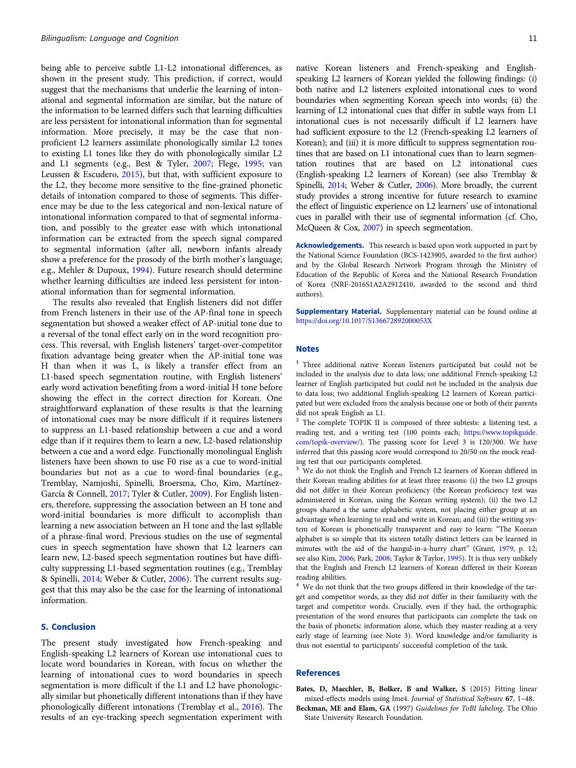<span id="page-10-0"></span>being able to perceive subtle L1-L2 intonational differences, as shown in the present study. This prediction, if correct, would suggest that the mechanisms that underlie the learning of intonational and segmental information are similar, but the nature of the information to be learned differs such that learning difficulties are less persistent for intonational information than for segmental information. More precisely, it may be the case that nonproficient L2 learners assimilate phonologically similar L2 tones to existing L1 tones like they do with phonologically similar L2 and L1 segments (e.g., Best & Tyler, [2007](#page-11-0); Flege, [1995;](#page-11-0) van Leussen & Escudero, [2015](#page-12-0)), but that, with sufficient exposure to the L2, they become more sensitive to the fine-grained phonetic details of intonation compared to those of segments. This difference may be due to the less categorical and non-lexical nature of intonational information compared to that of segmental information, and possibly to the greater ease with which intonational information can be extracted from the speech signal compared to segmental information (after all, newborn infants already show a preference for the prosody of the birth mother's language; e.g., Mehler & Dupoux, [1994](#page-11-0)). Future research should determine whether learning difficulties are indeed less persistent for intonational information than for segmental information.

The results also revealed that English listeners did not differ from French listeners in their use of the AP-final tone in speech segmentation but showed a weaker effect of AP-initial tone due to a reversal of the tonal effect early on in the word recognition process. This reversal, with English listeners' target-over-competitor fixation advantage being greater when the AP-initial tone was H than when it was L, is likely a transfer effect from an L1-based speech segmentation routine, with English listeners' early word activation benefiting from a word-initial H tone before showing the effect in the correct direction for Korean. One straightforward explanation of these results is that the learning of intonational cues may be more difficult if it requires listeners to suppress an L1-based relationship between a cue and a word edge than if it requires them to learn a new, L2-based relationship between a cue and a word edge. Functionally monolingual English listeners have been shown to use F0 rise as a cue to word-initial boundaries but not as a cue to word-final boundaries (e.g., Tremblay, Namjoshi, Spinelli, Broersma, Cho, Kim, Martínez-García & Connell, [2017;](#page-11-0) Tyler & Cutler, [2009](#page-12-0)). For English listeners, therefore, suppressing the association between an H tone and word-initial boundaries is more difficult to accomplish than learning a new association between an H tone and the last syllable of a phrase-final word. Previous studies on the use of segmental cues in speech segmentation have shown that L2 learners can learn new, L2-based speech segmentation routines but have difficulty suppressing L1-based segmentation routines (e.g., Tremblay & Spinelli, [2014](#page-12-0); Weber & Cutler, [2006\)](#page-12-0). The current results suggest that this may also be the case for the learning of intonational information.

## 5. Conclusion

The present study investigated how French-speaking and English-speaking L2 learners of Korean use intonational cues to locate word boundaries in Korean, with focus on whether the learning of intonational cues to word boundaries in speech segmentation is more difficult if the L1 and L2 have phonologically similar but phonetically different intonations than if they have phonologically different intonations (Tremblay et al., [2016](#page-11-0)). The results of an eye-tracking speech segmentation experiment with native Korean listeners and French-speaking and Englishspeaking L2 learners of Korean yielded the following findings: (i) both native and L2 listeners exploited intonational cues to word boundaries when segmenting Korean speech into words; (ii) the learning of L2 intonational cues that differ in subtle ways from L1 intonational cues is not necessarily difficult if L2 learners have had sufficient exposure to the L2 (French-speaking L2 learners of Korean); and (iii) it is more difficult to suppress segmentation routines that are based on L1 intonational cues than to learn segmentation routines that are based on L2 intonational cues (English-speaking L2 learners of Korean) (see also Tremblay & Spinelli, [2014;](#page-12-0) Weber & Cutler, [2006\)](#page-12-0). More broadly, the current study provides a strong incentive for future research to examine the effect of linguistic experience on L2 learners' use of intonational cues in parallel with their use of segmental information (cf. Cho, McQueen & Cox, [2007](#page-11-0)) in speech segmentation.

Acknowledgements. This research is based upon work supported in part by the National Science Foundation (BCS-1423905, awarded to the first author) and by the Global Research Network Program through the Ministry of Education of the Republic of Korea and the National Research Foundation of Korea (NRF-2016S1A2A2912410, awarded to the second and third authors).

Supplementary Material. Supplementary material can be found online at <https://doi.org/10.1017/S136672892000053X>

#### Notes

<sup>1</sup> Three additional native Korean listeners participated but could not be included in the analysis due to data loss; one additional French-speaking L2 learner of English participated but could not be included in the analysis due to data loss; two additional English-speaking L2 learners of Korean participated but were excluded from the analysis because one or both of their parents did not speak English as L1.

<sup>2</sup> The complete TOPIK II is composed of three subtests: a listening test, a reading test, and a writing test (100 points each; [https://www.topikguide.](https://www.topikguide.com/topik-overview/) [com/topik-overview/](https://www.topikguide.com/topik-overview/)). The passing score for Level 3 is 120/300. We have inferred that this passing score would correspond to 20/50 on the mock reading test that our participants completed.

We do not think the English and French L2 learners of Korean differed in their Korean reading abilities for at least three reasons: (i) the two L2 groups did not differ in their Korean proficiency (the Korean proficiency test was administered in Korean, using the Korean writing system); (ii) the two L2 groups shared a the same alphabetic system, not placing either group at an advantage when learning to read and write in Korean; and (iii) the writing system of Korean is phonetically transparent and easy to learn: "The Korean alphabet is so simple that its sixteen totally distinct letters can be learned in minutes with the aid of the hangul-in-a-hurry chart" (Grant, [1979](#page-11-0), p. 12; see also Kim, [2006;](#page-11-0) Park, [2008](#page-11-0); Taylor & Taylor, [1995\)](#page-11-0). It is thus very unlikely that the English and French L2 learners of Korean differed in their Korean reading abilities.

We do not think that the two groups differed in their knowledge of the target and competitor words, as they did not differ in their familiarity with the target and competitor words. Crucially, even if they had, the orthographic presentation of the word ensures that participants can complete the task on the basis of phonetic information alone, which they master reading at a very early stage of learning (see Note 3). Word knowledge and/or familiarity is thus not essential to participants' successful completion of the task.

## References

- Bates, D, Maechler, B, Bolker, B and Walker, S (2015) Fitting linear mixed-effects models using lme4. Journal of Statistical Software 67, 1–48.
- Beckman, ME and Elam, GA (1997) Guidelines for ToBI labeling. The Ohio State University Research Foundation.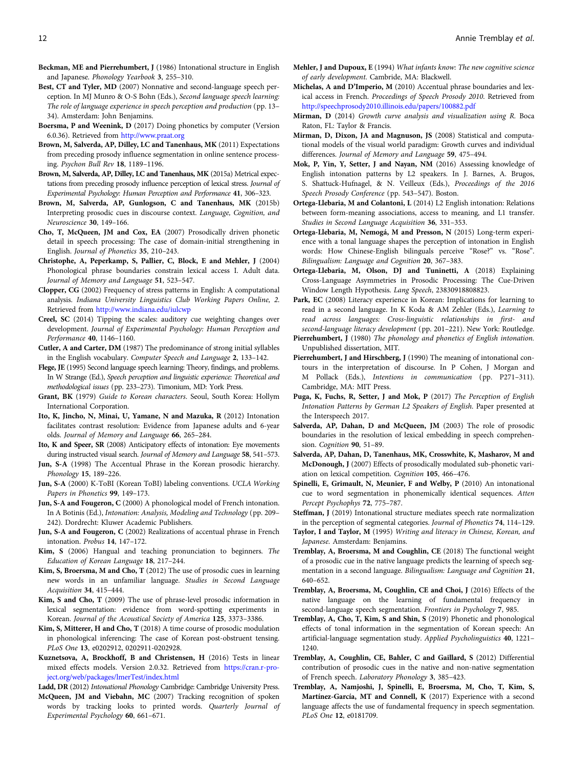- <span id="page-11-0"></span>Beckman, ME and Pierrehumbert, J (1986) Intonational structure in English and Japanese. Phonology Yearbook 3, 255–310.
- Best, CT and Tyler, MD (2007) Nonnative and second-language speech perception. In MJ Munro & O-S Bohn (Eds.), Second language speech learning: The role of language experience in speech perception and production (pp. 13– 34). Amsterdam: John Benjamins.
- Boersma, P and Weenink, D (2017) Doing phonetics by computer (Version 6.0.36). Retrieved from <http://www.praat.org>
- Brown, M, Salverda, AP, Dilley, LC and Tanenhaus, MK (2011) Expectations from preceding prosody influence segmentation in online sentence processing. Psychon Bull Rev 18, 1189–1196.
- Brown, M, Salverda, AP, Dilley, LC and Tanenhaus, MK (2015a) Metrical expectations from preceding prosody influence perception of lexical stress. Journal of Experimental Psychology: Human Perception and Performance 41, 306–323.
- Brown, M, Salverda, AP, Gunlogson, C and Tanenhaus, MK (2015b) Interpreting prosodic cues in discourse context. Language, Cognition, and Neuroscience 30, 149–166.
- Cho, T, McQueen, JM and Cox, EA (2007) Prosodically driven phonetic detail in speech processing: The case of domain-initial strengthening in English. Journal of Phonetics 35, 210–243.
- Christophe, A, Peperkamp, S, Pallier, C, Block, E and Mehler, J (2004) Phonological phrase boundaries constrain lexical access I. Adult data. Journal of Memory and Language 51, 523–547.
- Clopper, CG (2002) Frequency of stress patterns in English: A computational analysis. Indiana University Linguistics Club Working Papers Online, 2. Retrieved from <http://www.indiana.edu/iulcwp>
- Creel, SC (2014) Tipping the scales: auditory cue weighting changes over development. Journal of Experimental Psychology: Human Perception and Performance 40, 1146–1160.
- Cutler, A and Carter, DM (1987) The predominance of strong initial syllables in the English vocabulary. Computer Speech and Language 2, 133–142.
- Flege, JE (1995) Second language speech learning: Theory, findings, and problems. In W Strange (Ed.), Speech perception and linguistic experience: Theoretical and methodological issues (pp. 233–273). Timonium, MD: York Press.
- Grant, BK (1979) Guide to Korean characters. Seoul, South Korea: Hollym International Corporation.
- Ito, K, Jincho, N, Minai, U, Yamane, N and Mazuka, R (2012) Intonation facilitates contrast resolution: Evidence from Japanese adults and 6-year olds. Journal of Memory and Language 66, 265–284.
- Ito, K and Speer, SR (2008) Anticipatory effects of intonation: Eye movements during instructed visual search. Journal of Memory and Language 58, 541-573.
- Jun, S-A (1998) The Accentual Phrase in the Korean prosodic hierarchy. Phonology 15, 189–226.
- Jun, S-A (2000) K-ToBI (Korean ToBI) labeling conventions. UCLA Working Papers in Phonetics 99, 149–173.
- Jun, S-A and Fougeron, C (2000) A phonological model of French intonation. In A Botinis (Ed.), Intonation: Analysis, Modeling and Technology (pp. 209– 242). Dordrecht: Kluwer Academic Publishers.
- Jun, S-A and Fougeron, C (2002) Realizations of accentual phrase in French intonation. Probus 14, 147–172.
- Kim, S (2006) Hangual and teaching pronunciation to beginners. The Education of Korean Language 18, 217–244.
- Kim, S, Broersma, M and Cho, T (2012) The use of prosodic cues in learning new words in an unfamiliar language. Studies in Second Language Acquisition 34, 415–444.
- Kim, S and Cho, T (2009) The use of phrase-level prosodic information in lexical segmentation: evidence from word-spotting experiments in Korean. Journal of the Acoustical Society of America 125, 3373–3386.
- Kim, S, Mitterer, H and Cho, T (2018) A time course of prosodic modulation in phonological inferencing: The case of Korean post-obstruent tensing. PLoS One 13, e0202912, 0202911-0202928.
- Kuznetsova, A, Brockhoff, B and Christensen, H (2016) Tests in linear mixed effects models. Version 2.0.32. Retrieved from [https://cran.r-pro](https://cran.r-project.org/web/packages/lmerTest/index.html)[ject.org/web/packages/lmerTest/index.html](https://cran.r-project.org/web/packages/lmerTest/index.html)
- Ladd, DR (2012) Intonational Phonology Cambridge: Cambridge University Press. McQueen, JM and Viebahn, MC (2007) Tracking recognition of spoken words by tracking looks to printed words. Quarterly Journal of Experimental Psychology 60, 661–671.
- Mehler, J and Dupoux, E (1994) What infants know: The new cognitive science of early development. Cambride, MA: Blackwell.
- Michelas, A and D'Imperio, M (2010) Accentual phrase boundaries and lexical access in French. Proceedings of Speech Prosody 2010. Retrieved from <http://speechprosody2010.illinois.edu/papers/100882.pdf>
- Mirman, D (2014) Growth curve analysis and visualization using R. Boca Raton, FL: Taylor & Francis.
- Mirman, D, Dixon, JA and Magnuson, JS (2008) Statistical and computational models of the visual world paradigm: Growth curves and individual differences. Journal of Memory and Language 59, 475–494.
- Mok, P, Yin, Y, Setter, J and Nayan, NM (2016) Assessing knowledge of English intonation patterns by L2 speakers. In J. Barnes, A. Brugos, S. Shattuck-Hufnagel, & N. Veilleux (Eds.), Proceedings of the 2016 Speech Prosody Conference (pp. 543–547). Boston.
- Ortega-Llebaria, M and Colantoni, L (2014) L2 English intonation: Relations between form-meaning associations, access to meaning, and L1 transfer. Studies in Second Language Acquisition 36, 331–353.
- Ortega-Llebaria, M, Nemogá, M and Presson, N (2015) Long-term experience with a tonal language shapes the perception of intonation in English words: How Chinese-English bilinguals perceive "Rose?" vs. "Rose". Bilingualism: Language and Cognition 20, 367–383.
- Ortega-Llebaria, M, Olson, DJ and Tuninetti, A (2018) Explaining Cross-Language Asymmetries in Prosodic Processing: The Cue-Driven Window Length Hypothesis. Lang Speech, 23830918808823.
- Park, EC (2008) Literacy experience in Korean: Implications for learning to read in a second language. In K Koda & AM Zehler (Eds.), Learning to read across languages: Cross-linguistic relationships in first- and second-language literacy development (pp. 201–221). New York: Routledge.
- Pierrehumbert, J (1980) The phonology and phonetics of English intonation. Unpublished dissertation, MIT.
- Pierrehumbert, J and Hirschberg, J (1990) The meaning of intonational contours in the interpretation of discourse. In P Cohen, J Morgan and M Pollack (Eds.), Intentions in communication (pp. P271–311). Cambridge, MA: MIT Press.
- Puga, K, Fuchs, R, Setter, J and Mok, P (2017) The Perception of English Intonation Patterns by German L2 Speakers of English. Paper presented at the Interspeech 2017.
- Salverda, AP, Dahan, D and McQueen, JM (2003) The role of prosodic boundaries in the resolution of lexical embedding in speech comprehension. Cognition 90, 51-89.
- Salverda, AP, Dahan, D, Tanenhaus, MK, Crosswhite, K, Masharov, M and McDonough, J (2007) Effects of prosodically modulated sub-phonetic variation on lexical competition. Cognition 105, 466–476.
- Spinelli, E, Grimault, N, Meunier, F and Welby, P (2010) An intonational cue to word segmentation in phonemically identical sequences. Atten Percept Psychophys 72, 775–787.
- Steffman, J (2019) Intonational structure mediates speech rate normalization in the perception of segmental categories. Journal of Phonetics 74, 114–129.
- Taylor, I and Taylor, M (1995) Writing and literacy in Chinese, Korean, and Japanese. Amsterdam: Benjamins.
- Tremblay, A, Broersma, M and Coughlin, CE (2018) The functional weight of a prosodic cue in the native language predicts the learning of speech segmentation in a second language. Bilingualism: Language and Cognition 21, 640–652.
- Tremblay, A, Broersma, M, Coughlin, CE and Choi, J (2016) Effects of the native language on the learning of fundamental frequency in second-language speech segmentation. Frontiers in Psychology 7, 985.
- Tremblay, A, Cho, T, Kim, S and Shin, S (2019) Phonetic and phonological effects of tonal information in the segmentation of Korean speech: An artificial-language segmentation study. Applied Psycholinguistics 40, 1221– 1240.
- Tremblay, A, Coughlin, CE, Bahler, C and Gaillard, S (2012) Differential contribution of prosodic cues in the native and non-native segmentation of French speech. Laboratory Phonology 3, 385–423.
- Tremblay, A, Namjoshi, J, Spinelli, E, Broersma, M, Cho, T, Kim, S, Martínez-García, MT and Connell, K (2017) Experience with a second language affects the use of fundamental frequency in speech segmentation. PLoS One 12, e0181709.